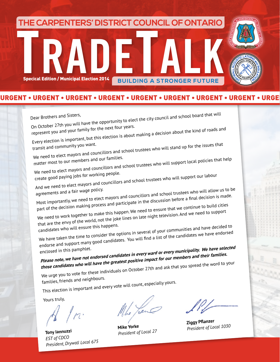**TRADETALK THE CARPENTERS' DISTRICT COUNCIL OF ONTARIO Specical Edition / Municipal Election 2014 BUILDING A STRONGER FUTURE** 

### URGENT • URGENT • URGENT • URGENT • URGENT • URGENT • URGENT • URGENT • URGENT • URGENT • URGENT • URGENT • URGENT • URGENT • URGENT

Dear Brothers and Sisters,<br>On October 27th you will have the opportunity to elect the city council and school board that will<br>On October 27th you will have the pext four years. On October 27th you ...<br>represent you and your family for the next four years.<br>Every election is important, but this election is about making a decision about the kind of roads and Ever, external community you want.<br>
transit and community you want.<br>
We need to elect mayors and councillors and school trustees who will stand up for the issues that **i** matter most to our members and our families. We need to elect mayors and councillors and school trustees who will support local policies that help create good paying jobs for working people. And we need to elect mayors and councillors and school trustees who will support our labour<br>agreements and a fair wage policy. agreements and a fair wage policy.<br>agreements and a fair wage policy.<br>Most importantly, we need to elect mayors and councillors and school trustees who will allow us to be part of the decision making process and participate in the discussion before a final decision is made. We need to work together to make this happen. We need to ensure that we continue to build cities that are the envy of the world, not the joke lines on late night television. And we need to suppor<sup>t</sup> candidates who will ensure this happens. We have taken the time to consider the options in several of your communities and have decided to endorse and support many good candidates. You will find a list of the candidates we have endorsed<br>enclosed in this pamphlet. enclosed in this pamphlet. **Please note, we have not endorsed candidates in every ward or every municipality. We have selected those candidates who will have the greatest positive impact for our members and their families.**  We urge you to vote for these individuals on October 27th and ask that you spread the word to your families, friends and neighbours. This election is important and every vote will count, especially yours. Yours truly, Le Your

*EST of CDCO President of Local 27 President of Local 1030 President, Drywall Local 675*

**Tony lannuzzi**<br> **Mike Yorke Mike Yorke Ziggy Pflanzer**<br> *President of Local 27 President of Lo*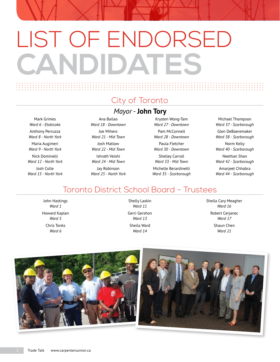# LIST OF ENDORSED **CANDIDATES**

## City of Toronto

### *Mayor* - **John Tory**

Mark Grimes *Ward 6 - Etobicoke* Anthony Perruzza *Ward 8 - North York* Maria Augimeri *Ward 9 - North York* Nick Dominelli *Ward 12 - North York* Josh Colle *Ward 15 - North York*

Ana Bailao *Ward 18 - Downtown* Joe Mihevc *Ward 21 - Mid Town* Josh Matlow *Ward 22 - Mid Town* Ishrath Velshi *Ward 24 - Mid Town* Jay Robinson *Ward 25 - North York*

Krysten Wong-Tam *Ward 27 - Downtown* Pam McConnell *Ward 28 - Downtown* Paula Fletcher *Ward 30 - Downtown* Shelley Carroll *Ward 33 - Mid Town* Michelle Berardinetti *Ward 35 - Scarborough*

Michael Thompson *Ward 37 - Scarborough* Glen DeBaeremaker *Ward 38 - Scarborough* Norm Kelly *Ward 40 - Scarborough* Neethan Shan *Ward 42 - Scarborough* Amarjeet Chhabra *Ward 44 - Scarborough*

### Toronto District School Board - Trustees

John Hastings *Ward 1* Howard Kaplan *Ward 5* Chris Tonks *Ward 6*

Shelly Laskin *Ward 11* Gerri Gershon *Ward 13* Sheila Ward *Ward 14*

Sheila Cary Meagher *Ward 16* Robert Cerjanec *Ward 17* Shaun Chen *Ward 21*

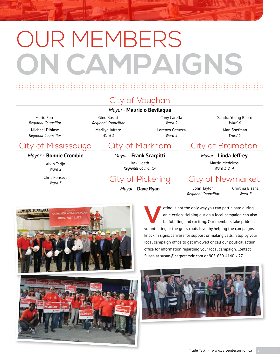# OUR MEMBERS **ON CAMPAIGNS**

## City of Vaughan

### *Mayor* - **Maurizio Bevilaqua**

Mario Ferri *Regional Councillor* Michael Dibiase *Regional Councillor*

### Gino Rosati *Regional Councillor* Marilyn Iafrate *Ward 1*

Tony Carella *Ward 2* Lorenzo Catuzza *Ward 3*

Sandra Yeung Racco *Ward 4* Alan Shefman

*Ward 5*

# City of Mississauga City of Markham City of Brampton

### *Mayor* - **Bonnie Crombie**

Alvin Tedjo *Ward 2*

Chris Fonseca

THLEEN WYNNE'S PL **DRS. NOT CUT** 

*Mayor* - **Frank Scarpitti** Jack Heath *Regional Councillor*

*Ward 3* City of Pickering

*Mayor* - **Dave Ryan**

### *Mayor* - **Linda Jeffrey**

Martin Medeiros *Ward 3 & 4*

### City of Newmarket

John Taylor *Regional Councillor* Chritina Bisanz *Ward 7*

oting is not the only way you can participate during<br>an election. Helping out on a local campaign can als<br>be fulfilling and exciting. Our members take pride in<br>when the campaigns an election. Helping out on a local campaign can also be fulfilling and exciting. Our members take pride in volunteering at the grass roots level by helping the campaigns knock in signs, canvass for support or making calls. Stop by your local campaign office to get involved or call our political action office for information regarding your local campaign. Contact Susan at susan@carpetersdc.com or 905-650-4140 x 271